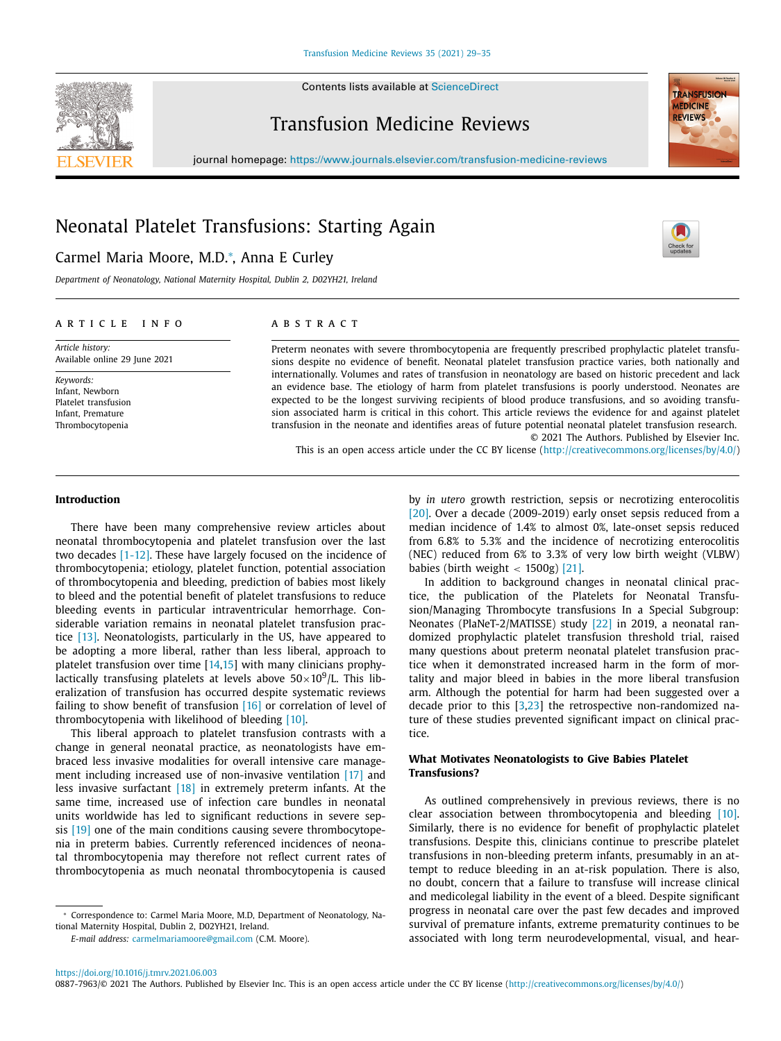Contents lists available at [ScienceDirect](http://www.ScienceDirect.com)



**TRANSFUSION MEDICINE** REVIEWS

# Transfusion Medicine Reviews

journal homepage: <https://www.journals.elsevier.com/transfusion-medicine-reviews>

# Neonatal Platelet Transfusions: Starting Again

## Carmel Maria Moore, M.D.<sup>∗</sup> , Anna E Curley

*Department of Neonatology, National Maternity Hospital, Dublin 2, D02YH21, Ireland*

## a r t i c l e i n f o

*Article history:* Available online 29 June 2021

*Keywords:* Infant, Newborn Platelet transfusion Infant, Premature Thrombocytopenia

## a b s t r a c t

Preterm neonates with severe thrombocytopenia are frequently prescribed prophylactic platelet transfusions despite no evidence of benefit. Neonatal platelet transfusion practice varies, both nationally and internationally. Volumes and rates of transfusion in neonatology are based on historic precedent and lack an evidence base. The etiology of harm from platelet transfusions is poorly understood. Neonates are expected to be the longest surviving recipients of blood produce transfusions, and so avoiding transfusion associated harm is critical in this cohort. This article reviews the evidence for and against platelet transfusion in the neonate and identifies areas of future potential neonatal platelet transfusion research. © 2021 The Authors. Published by Elsevier Inc.

This is an open access article under the CC BY license [\(http://creativecommons.org/licenses/by/4.0/\)](http://creativecommons.org/licenses/by/4.0/)

#### **Introduction**

There have been many comprehensive review articles about neonatal thrombocytopenia and platelet transfusion over the last two decades [\[1-12\].](#page-5-0) These have largely focused on the incidence of thrombocytopenia; etiology, platelet function, potential association of thrombocytopenia and bleeding, prediction of babies most likely to bleed and the potential benefit of platelet transfusions to reduce bleeding events in particular intraventricular hemorrhage. Considerable variation remains in neonatal platelet transfusion practice [\[13\].](#page-5-0) Neonatologists, particularly in the US, have appeared to be adopting a more liberal, rather than less liberal, approach to platelet transfusion over time [\[14,15\]](#page-5-0) with many clinicians prophylactically transfusing platelets at levels above  $50\times10^9$ /L. This liberalization of transfusion has occurred despite systematic reviews failing to show benefit of transfusion [\[16\]](#page-5-0) or correlation of level of thrombocytopenia with likelihood of bleeding [\[10\].](#page-5-0)

This liberal approach to platelet transfusion contrasts with a change in general neonatal practice, as neonatologists have embraced less invasive modalities for overall intensive care management including increased use of non-invasive ventilation [\[17\]](#page-5-0) and less invasive surfactant [\[18\]](#page-5-0) in extremely preterm infants. At the same time, increased use of infection care bundles in neonatal units worldwide has led to significant reductions in severe sepsis [\[19\]](#page-5-0) one of the main conditions causing severe thrombocytopenia in preterm babies. Currently referenced incidences of neonatal thrombocytopenia may therefore not reflect current rates of thrombocytopenia as much neonatal thrombocytopenia is caused

*E-mail address:* [carmelmariamoore@gmail.com](mailto:carmelmariamoore@gmail.com) (C.M. Moore).

by *in utero* growth restriction, sepsis or necrotizing enterocolitis [\[20\].](#page-5-0) Over a decade (2009-2019) early onset sepsis reduced from a median incidence of 1.4% to almost 0%, late-onset sepsis reduced from 6.8% to 5.3% and the incidence of necrotizing enterocolitis (NEC) reduced from 6% to 3.3% of very low birth weight (VLBW) babies (birth weight  $<$  1500g) [\[21\].](#page-5-0)

In addition to background changes in neonatal clinical practice, the publication of the Platelets for Neonatal Transfusion/Managing Thrombocyte transfusions In a Special Subgroup: Neonates (PlaNeT-2/MATISSE) study [\[22\]](#page-5-0) in 2019, a neonatal randomized prophylactic platelet transfusion threshold trial, raised many questions about preterm neonatal platelet transfusion practice when it demonstrated increased harm in the form of mortality and major bleed in babies in the more liberal transfusion arm. Although the potential for harm had been suggested over a decade prior to this [\[3,23\]](#page-5-0) the retrospective non-randomized nature of these studies prevented significant impact on clinical practice.

## **What Motivates Neonatologists to Give Babies Platelet Transfusions?**

As outlined comprehensively in previous reviews, there is no clear association between thrombocytopenia and bleeding [\[10\].](#page-5-0) Similarly, there is no evidence for benefit of prophylactic platelet transfusions. Despite this, clinicians continue to prescribe platelet transfusions in non-bleeding preterm infants, presumably in an attempt to reduce bleeding in an at-risk population. There is also, no doubt, concern that a failure to transfuse will increase clinical and medicolegal liability in the event of a bleed. Despite significant progress in neonatal care over the past few decades and improved survival of premature infants, extreme prematurity continues to be associated with long term neurodevelopmental, visual, and hear-

<sup>∗</sup> Correspondence to: Carmel Maria Moore, M.D, Department of Neonatology, National Maternity Hospital, Dublin 2, D02YH21, Ireland.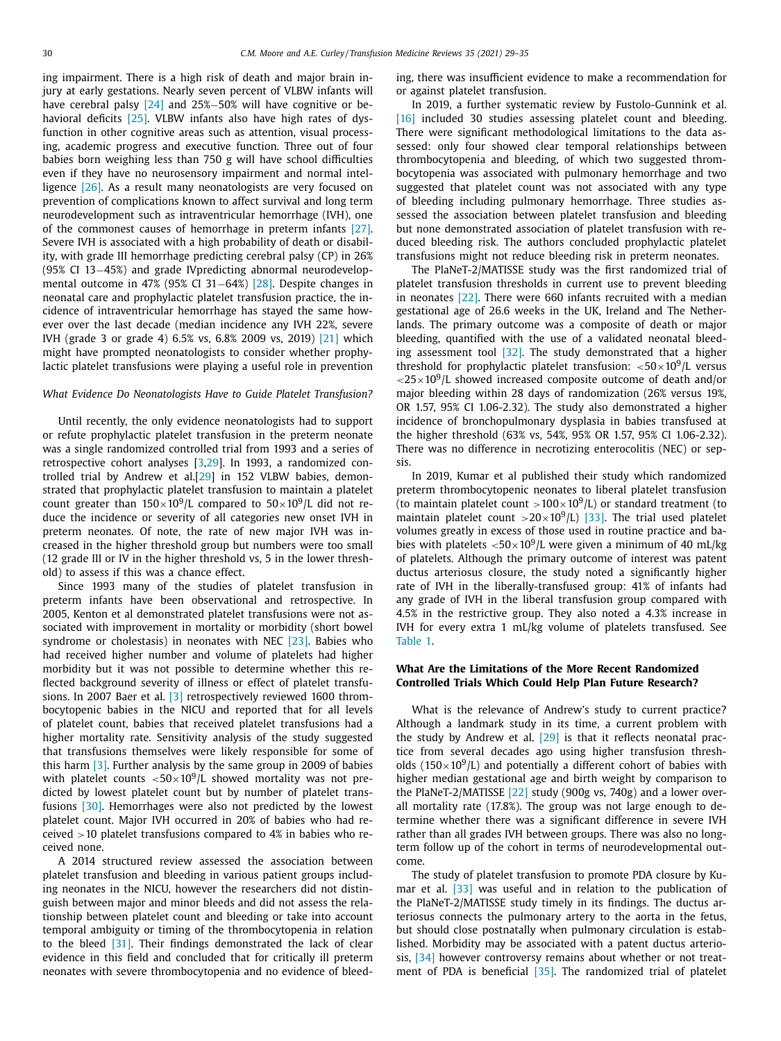ing impairment. There is a high risk of death and major brain injury at early gestations. Nearly seven percent of VLBW infants will have cerebral palsy [\[24\]](#page-5-0) and 25%−50% will have cognitive or be-havioral deficits [\[25\].](#page-5-0) VLBW infants also have high rates of dysfunction in other cognitive areas such as attention, visual processing, academic progress and executive function. Three out of four babies born weighing less than 750 g will have school difficulties even if they have no neurosensory impairment and normal intelligence [\[26\].](#page-5-0) As a result many neonatologists are very focused on prevention of complications known to affect survival and long term neurodevelopment such as intraventricular hemorrhage (IVH), one of the commonest causes of hemorrhage in preterm infants [\[27\].](#page-5-0) Severe IVH is associated with a high probability of death or disability, with grade III hemorrhage predicting cerebral palsy (CP) in 26% (95% CI 13−45%) and grade IVpredicting abnormal neurodevelopmental outcome in 47% (95% CI 31−64%) [\[28\].](#page-5-0) Despite changes in neonatal care and prophylactic platelet transfusion practice, the incidence of intraventricular hemorrhage has stayed the same however over the last decade (median incidence any IVH 22%, severe IVH (grade 3 or grade 4) 6.5% vs, 6.8% 2009 vs, 2019) [\[21\]](#page-5-0) which might have prompted neonatologists to consider whether prophylactic platelet transfusions were playing a useful role in prevention

#### *What Evidence Do Neonatologists Have to Guide Platelet Transfusion?*

Until recently, the only evidence neonatologists had to support or refute prophylactic platelet transfusion in the preterm neonate was a single randomized controlled trial from 1993 and a series of retrospective cohort analyses [\[3,29\]](#page-5-0). In 1993, a randomized controlled trial by Andrew et al.[\[29\]](#page-5-0) in 152 VLBW babies, demonstrated that prophylactic platelet transfusion to maintain a platelet count greater than  $150\times10^9$ /L compared to  $50\times10^9$ /L did not reduce the incidence or severity of all categories new onset IVH in preterm neonates. Of note, the rate of new major IVH was increased in the higher threshold group but numbers were too small (12 grade III or IV in the higher threshold vs, 5 in the lower threshold) to assess if this was a chance effect.

Since 1993 many of the studies of platelet transfusion in preterm infants have been observational and retrospective. In 2005, Kenton et al demonstrated platelet transfusions were not associated with improvement in mortality or morbidity (short bowel syndrome or cholestasis) in neonates with NEC [\[23\].](#page-5-0) Babies who had received higher number and volume of platelets had higher morbidity but it was not possible to determine whether this reflected background severity of illness or effect of platelet transfusions. In 2007 Baer et al. [\[3\]](#page-5-0) retrospectively reviewed 1600 thrombocytopenic babies in the NICU and reported that for all levels of platelet count, babies that received platelet transfusions had a higher mortality rate. Sensitivity analysis of the study suggested that transfusions themselves were likely responsible for some of this harm [\[3\].](#page-5-0) Further analysis by the same group in 2009 of babies with platelet counts  $<$  50 $\times$  10<sup>9</sup>/L showed mortality was not predicted by lowest platelet count but by number of platelet transfusions [\[30\].](#page-5-0) Hemorrhages were also not predicted by the lowest platelet count. Major IVH occurred in 20% of babies who had received >10 platelet transfusions compared to 4% in babies who received none.

A 2014 structured review assessed the association between platelet transfusion and bleeding in various patient groups including neonates in the NICU, however the researchers did not distinguish between major and minor bleeds and did not assess the relationship between platelet count and bleeding or take into account temporal ambiguity or timing of the thrombocytopenia in relation to the bleed [\[31\].](#page-5-0) Their findings demonstrated the lack of clear evidence in this field and concluded that for critically ill preterm neonates with severe thrombocytopenia and no evidence of bleeding, there was insufficient evidence to make a recommendation for or against platelet transfusion.

In 2019, a further systematic review by Fustolo-Gunnink et al. [\[16\]](#page-5-0) included 30 studies assessing platelet count and bleeding. There were significant methodological limitations to the data assessed: only four showed clear temporal relationships between thrombocytopenia and bleeding, of which two suggested thrombocytopenia was associated with pulmonary hemorrhage and two suggested that platelet count was not associated with any type of bleeding including pulmonary hemorrhage. Three studies assessed the association between platelet transfusion and bleeding but none demonstrated association of platelet transfusion with reduced bleeding risk. The authors concluded prophylactic platelet transfusions might not reduce bleeding risk in preterm neonates.

The PlaNeT-2/MATISSE study was the first randomized trial of platelet transfusion thresholds in current use to prevent bleeding in neonates [\[22\].](#page-5-0) There were 660 infants recruited with a median gestational age of 26.6 weeks in the UK, Ireland and The Netherlands. The primary outcome was a composite of death or major bleeding, quantified with the use of a validated neonatal bleeding assessment tool  $[32]$ . The study demonstrated that a higher threshold for prophylactic platelet transfusion:  $\langle 50 \times 10^9 \rangle$ L versus  $<$ 25 $\times$ 10<sup>9</sup>/L showed increased composite outcome of death and/or major bleeding within 28 days of randomization (26% versus 19%, OR 1.57, 95% CI 1.06-2.32). The study also demonstrated a higher incidence of bronchopulmonary dysplasia in babies transfused at the higher threshold (63% vs, 54%, 95% OR 1.57, 95% CI 1.06-2.32). There was no difference in necrotizing enterocolitis (NEC) or sepsis.

In 2019, Kumar et al published their study which randomized preterm thrombocytopenic neonates to liberal platelet transfusion (to maintain platelet count  $>100\times10^9$ /L) or standard treatment (to maintain platelet count  $>20\times10^9$ /L) [\[33\].](#page-5-0) The trial used platelet volumes greatly in excess of those used in routine practice and babies with platelets  $< 50 \times 10^9$ /L were given a minimum of 40 mL/kg of platelets. Although the primary outcome of interest was patent ductus arteriosus closure, the study noted a significantly higher rate of IVH in the liberally-transfused group: 41% of infants had any grade of IVH in the liberal transfusion group compared with 4.5% in the restrictive group. They also noted a 4.3% increase in IVH for every extra 1 mL/kg volume of platelets transfused. See [Table](#page-2-0) 1.

### **What Are the Limitations of the More Recent Randomized Controlled Trials Which Could Help Plan Future Research?**

What is the relevance of Andrew's study to current practice? Although a landmark study in its time, a current problem with the study by Andrew et al. [\[29\]](#page-5-0) is that it reflects neonatal practice from several decades ago using higher transfusion thresholds (150 $\times$ 10<sup>9</sup>/L) and potentially a different cohort of babies with higher median gestational age and birth weight by comparison to the PlaNeT-2/MATISSE [\[22\]](#page-5-0) study (900g vs, 740g) and a lower overall mortality rate (17.8%). The group was not large enough to determine whether there was a significant difference in severe IVH rather than all grades IVH between groups. There was also no longterm follow up of the cohort in terms of neurodevelopmental outcome.

The study of platelet transfusion to promote PDA closure by Kumar et al. [\[33\]](#page-5-0) was useful and in relation to the publication of the PlaNeT-2/MATISSE study timely in its findings. The ductus arteriosus connects the pulmonary artery to the aorta in the fetus, but should close postnatally when pulmonary circulation is established. Morbidity may be associated with a patent ductus arteriosis, [\[34\]](#page-5-0) however controversy remains about whether or not treatment of PDA is beneficial [\[35\].](#page-5-0) The randomized trial of platelet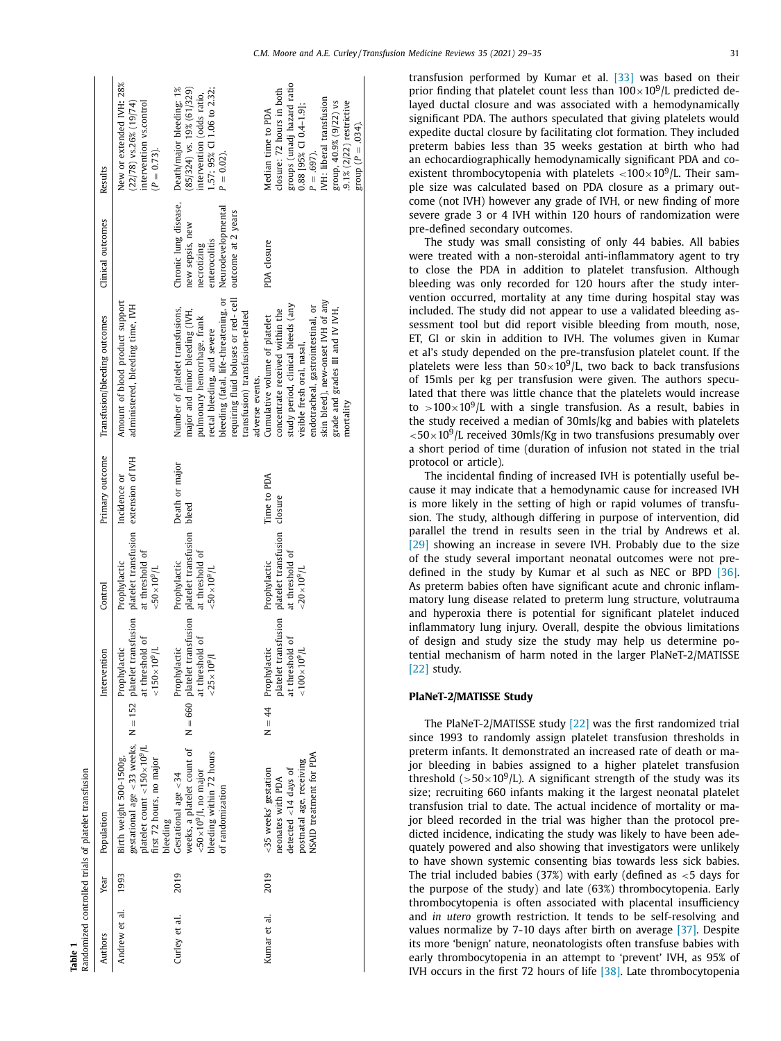<span id="page-2-0"></span>

|               |      | Randomized controlled trials of platelet transfusion                                                                                                                  |                                                                                                        |                                                                                         |                         |                                                                                                                                                                                                                                                                         |                                                                                                                      |                                                                                                                                                                                                           |
|---------------|------|-----------------------------------------------------------------------------------------------------------------------------------------------------------------------|--------------------------------------------------------------------------------------------------------|-----------------------------------------------------------------------------------------|-------------------------|-------------------------------------------------------------------------------------------------------------------------------------------------------------------------------------------------------------------------------------------------------------------------|----------------------------------------------------------------------------------------------------------------------|-----------------------------------------------------------------------------------------------------------------------------------------------------------------------------------------------------------|
| Authors       | Year | Population                                                                                                                                                            | Intervention                                                                                           | Control                                                                                 | Primary outcome         | Transfusion/bleeding outcomes                                                                                                                                                                                                                                           | Clinical outcomes                                                                                                    | Results                                                                                                                                                                                                   |
| Andrew et al. | 1993 | gestational age <33 weeks, $N = 152$ platelet transfusion<br>platelet count < $150 \times 10^9$ /L<br>Birth weight 500-1500g,<br>first 72 hours, no major<br>bleeding | at threshold of<br>$150 \times 10^{9}$ L<br>Prophylactic                                               | platelet transfusion extension of IVH<br>at threshold of<br>Prophylactic<br>$10^{9}$ /L | Incidence or            | Amount of blood product support<br>administered, bleeding time, IVH                                                                                                                                                                                                     |                                                                                                                      | New or extended IVH: 28%<br>intervention vs.control<br>$(22/78)$ vs.26% $(19/74)$<br>$(P = 0.73)$ .                                                                                                       |
| Curley et al. | 2019 | weeks, a platelet count of<br>bleeding within 72 hours<br>$<$ 50 $\times$ 10 <sup>9</sup> /l, no major<br>Gestational age <34<br>of randomization                     | $N = 660$ platelet transfusion<br>at threshold of<br>Prophylactic<br>$10^{9}$ /                        | platelet transfusion<br>at threshold of<br>Prophylactic<br>$10^{9}$ /L                  | Death or major<br>bleed | bleeding (fatal, life-threatening, or<br>requiring fluid boluses or red-cell<br>Number of platelet transfusions,<br>major and minor bleeding (IVH,<br>transfusion) transfusion-related<br>pulmonary hemorrhage, frank<br>rectal bleeding, and severe<br>adverse events. | Chronic lung disease,<br>Neurodevelopmental<br>outcome at 2 years<br>new sepsis, new<br>enterocolitis<br>necrotizing | 1.57; 95% CI 1.06 to 2.32;<br>Death/major bleeding: 1%<br>$(85/324)$ vs. 19% (61/329)<br>intervention (odds ratio,<br>$P = 0.02$ ).                                                                       |
| Kumar et al.  | 2019 | NSAID treatment for PDA<br>postnatal age, receiving<br><35 weeks' gestation<br>detected $<$ 14 days of<br>neonates with PDA                                           | platelet transfusion<br>at threshold of<br>10 <sup>9</sup> /L<br>$N = 44$ Prophylactic<br>$100 \times$ | platelet transfusion<br>at threshold of<br>Prophylactic<br>$< 20 \times 10^{9}$ /L      | Time to PDA<br>closure  | skin bleed), new-onset IVH of any<br>study period, clinical bleeds (any<br>endotracheal, gastrointestinal, or<br>grade and grades III and IV IVH,<br>concentrate received within the<br>Cumulative volume of platelet<br>visible fresh oral, nasal,<br>mortality        | PDA closure                                                                                                          | groups (unadj hazard ratio<br>closure: 72 hours in both<br>IVH: liberal transfusion<br>group, 40.9% (9/22) vs<br>9.1% (2/22) restrictive<br>0.88 [95% CI 0.4-1.9];<br>Median time to PDA<br>$P = .697$ ). |

**Table 1**

group  $(P = .034)$ .

 $(1 - 034)$ 

transfusion performed by Kumar et al. [\[33\]](#page-5-0) was based on their prior finding that platelet count less than  $100\times10^9$ /L predicted delayed ductal closure and was associated with a hemodynamically significant PDA. The authors speculated that giving platelets would expedite ductal closure by facilitating clot formation. They included preterm babies less than 35 weeks gestation at birth who had an echocardiographically hemodynamically significant PDA and coexistent thrombocytopenia with platelets  $\langle 100 \times 10^9 \rangle$ L. Their sample size was calculated based on PDA closure as a primary outcome (not IVH) however any grade of IVH, or new finding of more severe grade 3 or 4 IVH within 120 hours of randomization were pre-defined secondary outcomes.

The study was small consisting of only 44 babies. All babies were treated with a non-steroidal anti-inflammatory agent to try to close the PDA in addition to platelet transfusion. Although bleeding was only recorded for 120 hours after the study intervention occurred, mortality at any time during hospital stay was included. The study did not appear to use a validated bleeding assessment tool but did report visible bleeding from mouth, nose, ET, GI or skin in addition to IVH. The volumes given in Kumar et al's study depended on the pre-transfusion platelet count. If the platelets were less than  $50\times10^9$ /L, two back to back transfusions of 15mls per kg per transfusion were given. The authors speculated that there was little chance that the platelets would increase to >100×10<sup>9</sup>/L with a single transfusion. As a result, babies in the study received a median of 30mls/kg and babies with platelets  $<$  50 $\times$ 10<sup>9</sup>/L received 30mls/Kg in two transfusions presumably over a short period of time (duration of infusion not stated in the trial protocol or article).

The incidental finding of increased IVH is potentially useful because it may indicate that a hemodynamic cause for increased IVH is more likely in the setting of high or rapid volumes of transfusion. The study, although differing in purpose of intervention, did parallel the trend in results seen in the trial by Andrews et al. [\[29\]](#page-5-0) showing an increase in severe IVH. Probably due to the size of the study several important neonatal outcomes were not predefined in the study by Kumar et al such as NEC or BPD [\[36\].](#page-5-0) As preterm babies often have significant acute and chronic inflammatory lung disease related to preterm lung structure, volutrauma and hyperoxia there is potential for significant platelet induced inflammatory lung injury. Overall, despite the obvious limitations of design and study size the study may help us determine potential mechanism of harm noted in the larger PlaNeT-2/MATISSE [\[22\]](#page-5-0) study.

#### **PlaNeT-2/MATISSE Study**

The PlaNeT-2/MATISSE study [\[22\]](#page-5-0) was the first randomized trial since 1993 to randomly assign platelet transfusion thresholds in preterm infants. It demonstrated an increased rate of death or major bleeding in babies assigned to a higher platelet transfusion threshold ( $>50\times10^{9}$ /L). A significant strength of the study was its size; recruiting 660 infants making it the largest neonatal platelet transfusion trial to date. The actual incidence of mortality or major bleed recorded in the trial was higher than the protocol predicted incidence, indicating the study was likely to have been adequately powered and also showing that investigators were unlikely to have shown systemic consenting bias towards less sick babies. The trial included babies (37%) with early (defined as  $<$  5 days for the purpose of the study) and late (63%) thrombocytopenia. Early thrombocytopenia is often associated with placental insufficiency and *in utero* growth restriction. It tends to be self-resolving and values normalize by 7-10 days after birth on average [\[37\].](#page-5-0) Despite its more 'benign' nature, neonatologists often transfuse babies with early thrombocytopenia in an attempt to 'prevent' IVH, as 95% of IVH occurs in the first 72 hours of life [\[38\].](#page-5-0) Late thrombocytopenia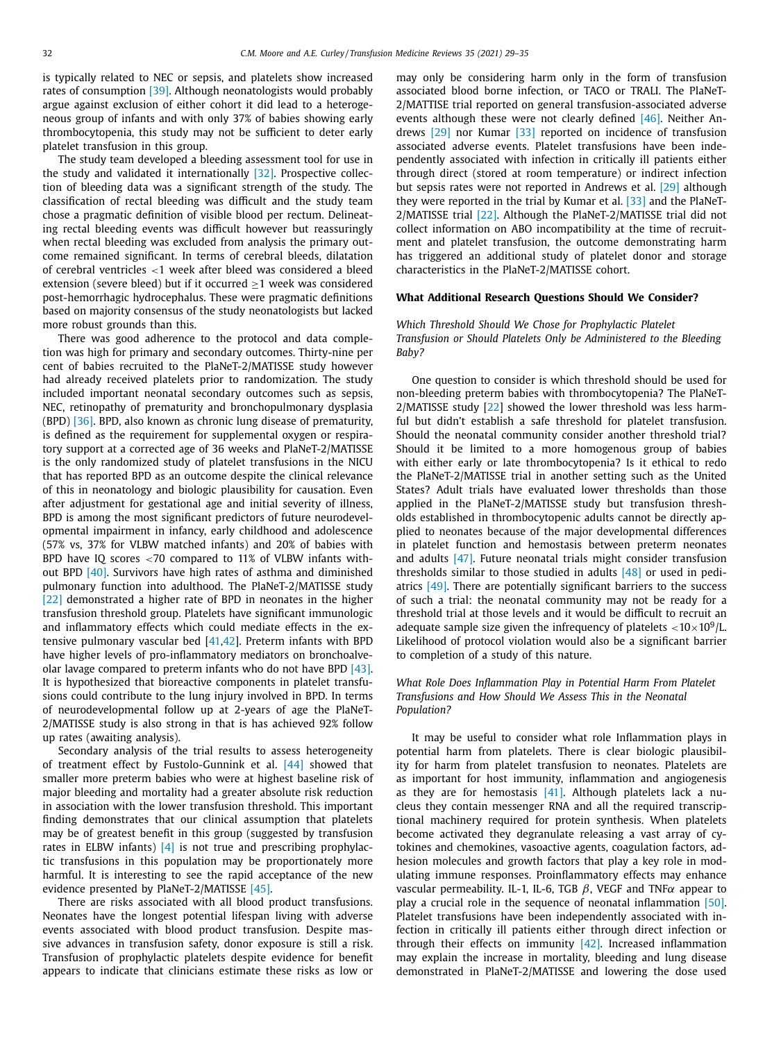is typically related to NEC or sepsis, and platelets show increased rates of consumption [\[39\].](#page-5-0) Although neonatologists would probably argue against exclusion of either cohort it did lead to a heterogeneous group of infants and with only 37% of babies showing early thrombocytopenia, this study may not be sufficient to deter early platelet transfusion in this group.

The study team developed a bleeding assessment tool for use in the study and validated it internationally [\[32\].](#page-5-0) Prospective collection of bleeding data was a significant strength of the study. The classification of rectal bleeding was difficult and the study team chose a pragmatic definition of visible blood per rectum. Delineating rectal bleeding events was difficult however but reassuringly when rectal bleeding was excluded from analysis the primary outcome remained significant. In terms of cerebral bleeds, dilatation of cerebral ventricles <1 week after bleed was considered a bleed extension (severe bleed) but if it occurred  $\geq$ 1 week was considered post-hemorrhagic hydrocephalus. These were pragmatic definitions based on majority consensus of the study neonatologists but lacked more robust grounds than this.

There was good adherence to the protocol and data completion was high for primary and secondary outcomes. Thirty-nine per cent of babies recruited to the PlaNeT-2/MATISSE study however had already received platelets prior to randomization. The study included important neonatal secondary outcomes such as sepsis, NEC, retinopathy of prematurity and bronchopulmonary dysplasia (BPD) [\[36\].](#page-5-0) BPD, also known as chronic lung disease of prematurity, is defined as the requirement for supplemental oxygen or respiratory support at a corrected age of 36 weeks and PlaNeT-2/MATISSE is the only randomized study of platelet transfusions in the NICU that has reported BPD as an outcome despite the clinical relevance of this in neonatology and biologic plausibility for causation. Even after adjustment for gestational age and initial severity of illness, BPD is among the most significant predictors of future neurodevelopmental impairment in infancy, early childhood and adolescence (57% vs, 37% for VLBW matched infants) and 20% of babies with BPD have IQ scores <70 compared to 11% of VLBW infants without BPD [\[40\].](#page-5-0) Survivors have high rates of asthma and diminished pulmonary function into adulthood. The PlaNeT-2/MATISSE study [\[22\]](#page-5-0) demonstrated a higher rate of BPD in neonates in the higher transfusion threshold group. Platelets have significant immunologic and inflammatory effects which could mediate effects in the extensive pulmonary vascular bed [\[41,42\]](#page-5-0). Preterm infants with BPD have higher levels of pro-inflammatory mediators on bronchoalveolar lavage compared to preterm infants who do not have BPD [\[43\].](#page-5-0) It is hypothesized that bioreactive components in platelet transfusions could contribute to the lung injury involved in BPD. In terms of neurodevelopmental follow up at 2-years of age the PlaNeT-2/MATISSE study is also strong in that is has achieved 92% follow up rates (awaiting analysis).

Secondary analysis of the trial results to assess heterogeneity of treatment effect by Fustolo-Gunnink et al. [\[44\]](#page-5-0) showed that smaller more preterm babies who were at highest baseline risk of major bleeding and mortality had a greater absolute risk reduction in association with the lower transfusion threshold. This important finding demonstrates that our clinical assumption that platelets may be of greatest benefit in this group (suggested by transfusion rates in ELBW infants)  $\begin{bmatrix} 4 \end{bmatrix}$  is not true and prescribing prophylactic transfusions in this population may be proportionately more harmful. It is interesting to see the rapid acceptance of the new evidence presented by PlaNeT-2/MATISSE [\[45\].](#page-6-0)

There are risks associated with all blood product transfusions. Neonates have the longest potential lifespan living with adverse events associated with blood product transfusion. Despite massive advances in transfusion safety, donor exposure is still a risk. Transfusion of prophylactic platelets despite evidence for benefit appears to indicate that clinicians estimate these risks as low or may only be considering harm only in the form of transfusion associated blood borne infection, or TACO or TRALI. The PlaNeT-2/MATTISE trial reported on general transfusion-associated adverse events although these were not clearly defined [\[46\].](#page-6-0) Neither Andrews [\[29\]](#page-5-0) nor Kumar [\[33\]](#page-5-0) reported on incidence of transfusion associated adverse events. Platelet transfusions have been independently associated with infection in critically ill patients either through direct (stored at room temperature) or indirect infection but sepsis rates were not reported in Andrews et al. [\[29\]](#page-5-0) although they were reported in the trial by Kumar et al. [\[33\]](#page-5-0) and the PlaNeT-2/MATISSE trial [\[22\].](#page-5-0) Although the PlaNeT-2/MATISSE trial did not collect information on ABO incompatibility at the time of recruitment and platelet transfusion, the outcome demonstrating harm has triggered an additional study of platelet donor and storage characteristics in the PlaNeT-2/MATISSE cohort.

#### **What Additional Research Questions Should We Consider?**

## *Which Threshold Should We Chose for Prophylactic Platelet Transfusion or Should Platelets Only be Administered to the Bleeding Baby?*

One question to consider is which threshold should be used for non-bleeding preterm babies with thrombocytopenia? The PlaNeT-2/MATISSE study [\[22\]](#page-5-0) showed the lower threshold was less harmful but didn't establish a safe threshold for platelet transfusion. Should the neonatal community consider another threshold trial? Should it be limited to a more homogenous group of babies with either early or late thrombocytopenia? Is it ethical to redo the PlaNeT-2/MATISSE trial in another setting such as the United States? Adult trials have evaluated lower thresholds than those applied in the PlaNeT-2/MATISSE study but transfusion thresholds established in thrombocytopenic adults cannot be directly applied to neonates because of the major developmental differences in platelet function and hemostasis between preterm neonates and adults [\[47\].](#page-6-0) Future neonatal trials might consider transfusion thresholds similar to those studied in adults  $[48]$  or used in pediatrics [\[49\].](#page-6-0) There are potentially significant barriers to the success of such a trial: the neonatal community may not be ready for a threshold trial at those levels and it would be difficult to recruit an adequate sample size given the infrequency of platelets  $<$  10 $\times$  10<sup>9</sup>/L. Likelihood of protocol violation would also be a significant barrier to completion of a study of this nature.

### *What Role Does Inflammation Play in Potential Harm From Platelet Transfusions and How Should We Assess This in the Neonatal Population?*

It may be useful to consider what role Inflammation plays in potential harm from platelets. There is clear biologic plausibility for harm from platelet transfusion to neonates. Platelets are as important for host immunity, inflammation and angiogenesis as they are for hemostasis [\[41\].](#page-5-0) Although platelets lack a nucleus they contain messenger RNA and all the required transcriptional machinery required for protein synthesis. When platelets become activated they degranulate releasing a vast array of cytokines and chemokines, vasoactive agents, coagulation factors, adhesion molecules and growth factors that play a key role in modulating immune responses. Proinflammatory effects may enhance vascular permeability. IL-1, IL-6, TGB  $β$ , VEGF and TNF $α$  appear to play a crucial role in the sequence of neonatal inflammation [\[50\].](#page-6-0) Platelet transfusions have been independently associated with infection in critically ill patients either through direct infection or through their effects on immunity  $[42]$ . Increased inflammation may explain the increase in mortality, bleeding and lung disease demonstrated in PlaNeT-2/MATISSE and lowering the dose used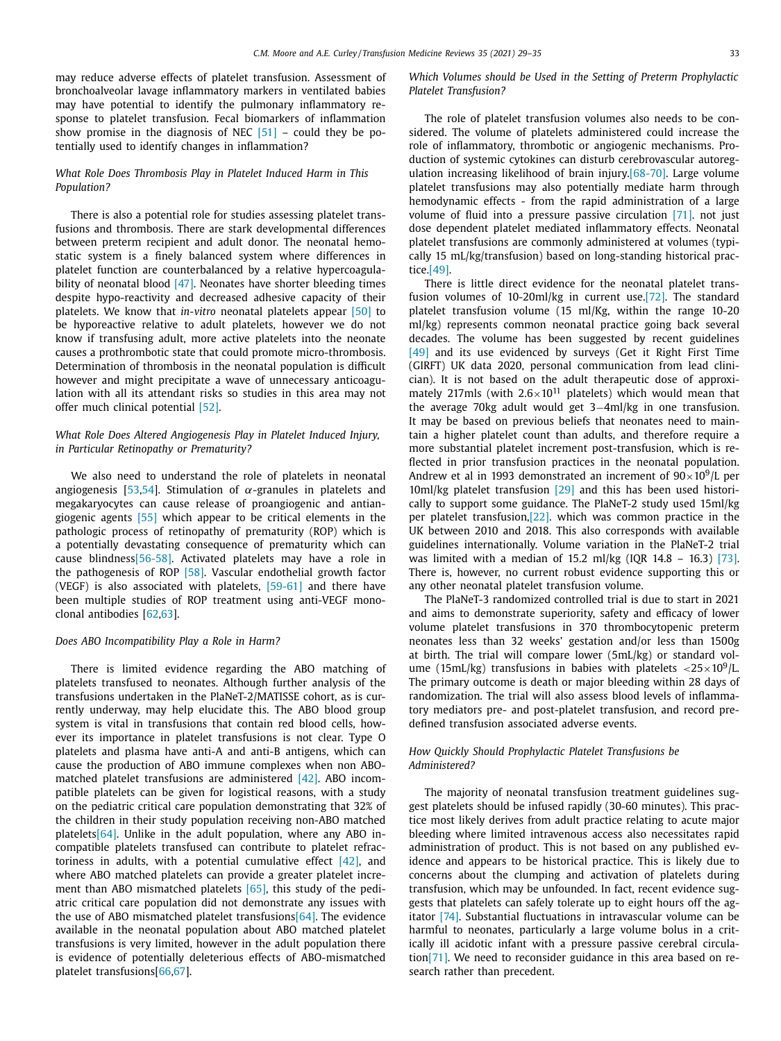may reduce adverse effects of platelet transfusion. Assessment of bronchoalveolar lavage inflammatory markers in ventilated babies may have potential to identify the pulmonary inflammatory response to platelet transfusion. Fecal biomarkers of inflammation show promise in the diagnosis of NEC  $[51]$  – could they be potentially used to identify changes in inflammation?

### *What Role Does Thrombosis Play in Platelet Induced Harm in This Population?*

There is also a potential role for studies assessing platelet transfusions and thrombosis. There are stark developmental differences between preterm recipient and adult donor. The neonatal hemostatic system is a finely balanced system where differences in platelet function are counterbalanced by a relative hypercoagula-bility of neonatal blood [\[47\].](#page-6-0) Neonates have shorter bleeding times despite hypo-reactivity and decreased adhesive capacity of their platelets. We know that *in-vitro* neonatal platelets appear [\[50\]](#page-6-0) to be hyporeactive relative to adult platelets, however we do not know if transfusing adult, more active platelets into the neonate causes a prothrombotic state that could promote micro-thrombosis. Determination of thrombosis in the neonatal population is difficult however and might precipitate a wave of unnecessary anticoagulation with all its attendant risks so studies in this area may not offer much clinical potential [\[52\].](#page-6-0)

## *What Role Does Altered Angiogenesis Play in Platelet Induced Injury, in Particular Retinopathy or Prematurity?*

We also need to understand the role of platelets in neonatal angiogenesis [\[53,54\]](#page-6-0). Stimulation of  $\alpha$ -granules in platelets and megakaryocytes can cause release of proangiogenic and antiangiogenic agents [\[55\]](#page-6-0) which appear to be critical elements in the pathologic process of retinopathy of prematurity (ROP) which is a potentially devastating consequence of prematurity which can cause blindnes[s\[56-58\].](#page-6-0) Activated platelets may have a role in the pathogenesis of ROP [\[58\].](#page-6-0) Vascular endothelial growth factor (VEGF) is also associated with platelets, [\[59-61\]](#page-6-0) and there have been multiple studies of ROP treatment using anti-VEGF monoclonal antibodies [\[62,63\]](#page-6-0).

#### *Does ABO Incompatibility Play a Role in Harm?*

There is limited evidence regarding the ABO matching of platelets transfused to neonates. Although further analysis of the transfusions undertaken in the PlaNeT-2/MATISSE cohort, as is currently underway, may help elucidate this. The ABO blood group system is vital in transfusions that contain red blood cells, however its importance in platelet transfusions is not clear. Type O platelets and plasma have anti-A and anti-B antigens, which can cause the production of ABO immune complexes when non ABOmatched platelet transfusions are administered [\[42\].](#page-5-0) ABO incompatible platelets can be given for logistical reasons, with a study on the pediatric critical care population demonstrating that 32% of the children in their study population receiving non-ABO matched platelet[s\[64\].](#page-6-0) Unlike in the adult population, where any ABO incompatible platelets transfused can contribute to platelet refractoriness in adults, with a potential cumulative effect  $[42]$ , and where ABO matched platelets can provide a greater platelet increment than ABO mismatched platelets [\[65\],](#page-6-0) this study of the pediatric critical care population did not demonstrate any issues with the use of ABO mismatched platelet transfusion[s\[64\].](#page-6-0) The evidence available in the neonatal population about ABO matched platelet transfusions is very limited, however in the adult population there is evidence of potentially deleterious effects of ABO-mismatched platelet transfusions[\[66,67\]](#page-6-0).

## *Which Volumes should be Used in the Setting of Preterm Prophylactic Platelet Transfusion?*

The role of platelet transfusion volumes also needs to be considered. The volume of platelets administered could increase the role of inflammatory, thrombotic or angiogenic mechanisms. Production of systemic cytokines can disturb cerebrovascular autoregulation increasing likelihood of brain injury[.\[68-70\].](#page-6-0) Large volume platelet transfusions may also potentially mediate harm through hemodynamic effects - from the rapid administration of a large volume of fluid into a pressure passive circulation [\[71\].](#page-6-0) not just dose dependent platelet mediated inflammatory effects. Neonatal platelet transfusions are commonly administered at volumes (typically 15 mL/kg/transfusion) based on long-standing historical practice[.\[49\].](#page-6-0)

There is little direct evidence for the neonatal platelet transfusion volumes of 10-20ml/kg in current use[.\[72\].](#page-6-0) The standard platelet transfusion volume (15 ml/Kg, within the range 10-20 ml/kg) represents common neonatal practice going back several decades. The volume has been suggested by recent guidelines [\[49\]](#page-6-0) and its use evidenced by surveys (Get it Right First Time (GIRFT) UK data 2020, personal communication from lead clinician). It is not based on the adult therapeutic dose of approximately 217mls (with  $2.6 \times 10^{11}$  platelets) which would mean that the average 70kg adult would get 3−4ml/kg in one transfusion. It may be based on previous beliefs that neonates need to maintain a higher platelet count than adults, and therefore require a more substantial platelet increment post-transfusion, which is reflected in prior transfusion practices in the neonatal population. Andrew et al in 1993 demonstrated an increment of  $90\times10^9$ /L per 10ml/kg platelet transfusion [\[29\]](#page-5-0) and this has been used historically to support some guidance. The PlaNeT-2 study used 15ml/kg per platelet transfusion[,\[22\].](#page-5-0) which was common practice in the UK between 2010 and 2018. This also corresponds with available guidelines internationally. Volume variation in the PlaNeT-2 trial was limited with a median of 15.2 ml/kg (IQR 14.8 – 16.3) [\[73\].](#page-6-0) There is, however, no current robust evidence supporting this or any other neonatal platelet transfusion volume.

The PlaNeT-3 randomized controlled trial is due to start in 2021 and aims to demonstrate superiority, safety and efficacy of lower volume platelet transfusions in 370 thrombocytopenic preterm neonates less than 32 weeks' gestation and/or less than 1500g at birth. The trial will compare lower (5mL/kg) or standard volume (15mL/kg) transfusions in babies with platelets  $\langle 25 \times 10^9 \rangle$ L. The primary outcome is death or major bleeding within 28 days of randomization. The trial will also assess blood levels of inflammatory mediators pre- and post-platelet transfusion, and record predefined transfusion associated adverse events.

#### *How Quickly Should Prophylactic Platelet Transfusions be Administered?*

The majority of neonatal transfusion treatment guidelines suggest platelets should be infused rapidly (30-60 minutes). This practice most likely derives from adult practice relating to acute major bleeding where limited intravenous access also necessitates rapid administration of product. This is not based on any published evidence and appears to be historical practice. This is likely due to concerns about the clumping and activation of platelets during transfusion, which may be unfounded. In fact, recent evidence suggests that platelets can safely tolerate up to eight hours off the agitator [\[74\].](#page-6-0) Substantial fluctuations in intravascular volume can be harmful to neonates, particularly a large volume bolus in a critically ill acidotic infant with a pressure passive cerebral circulatio[n\[71\].](#page-6-0) We need to reconsider guidance in this area based on research rather than precedent.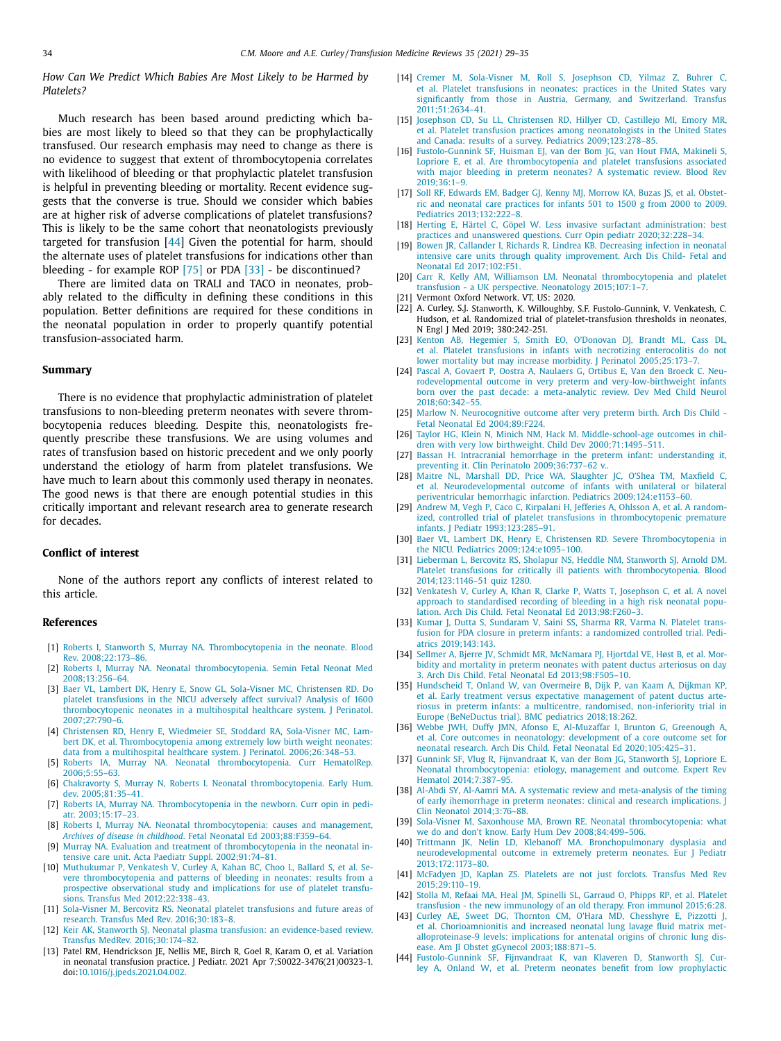<span id="page-5-0"></span>*How Can We Predict Which Babies Are Most Likely to be Harmed by Platelets?*

Much research has been based around predicting which babies are most likely to bleed so that they can be prophylactically transfused. Our research emphasis may need to change as there is no evidence to suggest that extent of thrombocytopenia correlates with likelihood of bleeding or that prophylactic platelet transfusion is helpful in preventing bleeding or mortality. Recent evidence suggests that the converse is true. Should we consider which babies are at higher risk of adverse complications of platelet transfusions? This is likely to be the same cohort that neonatologists previously targeted for transfusion [44] Given the potential for harm, should the alternate uses of platelet transfusions for indications other than bleeding - for example ROP [\[75\]](#page-6-0) or PDA [33] - be discontinued?

There are limited data on TRALI and TACO in neonates, probably related to the difficulty in defining these conditions in this population. Better definitions are required for these conditions in the neonatal population in order to properly quantify potential transfusion-associated harm.

#### **Summary**

There is no evidence that prophylactic administration of platelet transfusions to non-bleeding preterm neonates with severe thrombocytopenia reduces bleeding. Despite this, neonatologists frequently prescribe these transfusions. We are using volumes and rates of transfusion based on historic precedent and we only poorly understand the etiology of harm from platelet transfusions. We have much to learn about this commonly used therapy in neonates. The good news is that there are enough potential studies in this critically important and relevant research area to generate research for decades.

#### **Conflict of interest**

None of the authors report any conflicts of interest related to this article.

#### **References**

- [1] [Roberts](http://refhub.elsevier.com/S0887-7963(21)00024-9/sbref0001) I, [Stanworth](http://refhub.elsevier.com/S0887-7963(21)00024-9/sbref0001) S, [Murray](http://refhub.elsevier.com/S0887-7963(21)00024-9/sbref0001) NA. [Thrombocytopenia](http://refhub.elsevier.com/S0887-7963(21)00024-9/sbref0001) in the neonate. Blood Rev. 2008;22:173–86.
- [2] [Roberts](http://refhub.elsevier.com/S0887-7963(21)00024-9/sbref0002) I, [Murray](http://refhub.elsevier.com/S0887-7963(21)00024-9/sbref0002) NA. Neonatal [thrombocytopenia.](http://refhub.elsevier.com/S0887-7963(21)00024-9/sbref0002) Semin Fetal Neonat Med 2008;13:256–64.
- [3] [Baer](http://refhub.elsevier.com/S0887-7963(21)00024-9/sbref0003) VL, [Lambert](http://refhub.elsevier.com/S0887-7963(21)00024-9/sbref0003) DK, [Henry](http://refhub.elsevier.com/S0887-7963(21)00024-9/sbref0003) E, [Snow](http://refhub.elsevier.com/S0887-7963(21)00024-9/sbref0003) GL, [Sola-Visner](http://refhub.elsevier.com/S0887-7963(21)00024-9/sbref0003) MC, [Christensen](http://refhub.elsevier.com/S0887-7963(21)00024-9/sbref0003) RD. Do platelet transfusions in the NICU adversely affect survival? Analysis of 1600 [thrombocytopenic](http://refhub.elsevier.com/S0887-7963(21)00024-9/sbref0003) neonates in a multihospital healthcare system. J Perinatol. 2007;27:790–6.
- [4] [Christensen](http://refhub.elsevier.com/S0887-7963(21)00024-9/sbref0004) RD, [Henry](http://refhub.elsevier.com/S0887-7963(21)00024-9/sbref0004) E, [Wiedmeier](http://refhub.elsevier.com/S0887-7963(21)00024-9/sbref0004) SE, [Stoddard](http://refhub.elsevier.com/S0887-7963(21)00024-9/sbref0004) RA, [Sola-Visner](http://refhub.elsevier.com/S0887-7963(21)00024-9/sbref0004) MC, Lambert DK, et [al.](http://refhub.elsevier.com/S0887-7963(21)00024-9/sbref0004) [Thrombocytopenia](http://refhub.elsevier.com/S0887-7963(21)00024-9/sbref0004) among extremely low birth weight neonates: data from a multihospital healthcare system. J Perinatol. 2006;26:348–53.
- [5] [Roberts](http://refhub.elsevier.com/S0887-7963(21)00024-9/sbref0005) IA, [Murray](http://refhub.elsevier.com/S0887-7963(21)00024-9/sbref0005) NA. Neonatal [thrombocytopenia.](http://refhub.elsevier.com/S0887-7963(21)00024-9/sbref0005) Curr HematolRep. 2006;5:55–63.
- [6] [Chakravorty](http://refhub.elsevier.com/S0887-7963(21)00024-9/sbref0006) S, [Murray](http://refhub.elsevier.com/S0887-7963(21)00024-9/sbref0006) N, [Roberts](http://refhub.elsevier.com/S0887-7963(21)00024-9/sbref0006) I. Neonatal [thrombocytopenia.](http://refhub.elsevier.com/S0887-7963(21)00024-9/sbref0006) Early Hum. dev. 2005;81:35–41.
- [7] [Roberts](http://refhub.elsevier.com/S0887-7963(21)00024-9/sbref0007) IA, [Murray](http://refhub.elsevier.com/S0887-7963(21)00024-9/sbref0007) NA. [Thrombocytopenia](http://refhub.elsevier.com/S0887-7963(21)00024-9/sbref0007) in the newborn. Curr opin in pediatr. 2003;15:17–23.
- [8] [Roberts](http://refhub.elsevier.com/S0887-7963(21)00024-9/sbref0008) I, [Murray](http://refhub.elsevier.com/S0887-7963(21)00024-9/sbref0008) NA. Neonatal [thrombocytopenia:](http://refhub.elsevier.com/S0887-7963(21)00024-9/sbref0008) causes and management, *Archives of disease in childhood*. Fetal Neonatal Ed 2003;88:F359–64.
- [9] [Murray](http://refhub.elsevier.com/S0887-7963(21)00024-9/sbref0009) NA. Evaluation and treatment of [thrombocytopenia](http://refhub.elsevier.com/S0887-7963(21)00024-9/sbref0009) in the neonatal intensive care unit. Acta Paediatr Suppl. 2002;91:74–81.
- [10] [Muthukumar](http://refhub.elsevier.com/S0887-7963(21)00024-9/sbref0010) P, [Venkatesh](http://refhub.elsevier.com/S0887-7963(21)00024-9/sbref0010) V, [Curley](http://refhub.elsevier.com/S0887-7963(21)00024-9/sbref0010) A, [Kahan](http://refhub.elsevier.com/S0887-7963(21)00024-9/sbref0010) BC, [Choo](http://refhub.elsevier.com/S0887-7963(21)00024-9/sbref0010) L, [Ballard](http://refhub.elsevier.com/S0887-7963(21)00024-9/sbref0010) S, et [al.](http://refhub.elsevier.com/S0887-7963(21)00024-9/sbref0010) Severe [thrombocytopenia](http://refhub.elsevier.com/S0887-7963(21)00024-9/sbref0010) and patterns of bleeding in neonates: results from a prospective observational study and implications for use of platelet transfusions. Transfus Med 2012;22:338–43.
- [11] [Sola-Visner](http://refhub.elsevier.com/S0887-7963(21)00024-9/sbref0011) M, [Bercovitz](http://refhub.elsevier.com/S0887-7963(21)00024-9/sbref0011) RS. Neonatal platelet transfusions and future areas of research. Transfus Med Rev. [2016;30:183–8.](http://refhub.elsevier.com/S0887-7963(21)00024-9/sbref0011)
- [12] [Keir](http://refhub.elsevier.com/S0887-7963(21)00024-9/sbref0012) AK, [Stanworth](http://refhub.elsevier.com/S0887-7963(21)00024-9/sbref0012) SJ. Neonatal plasma transfusion: an evidence-based review. Transfus MedRev. [2016;30:174–82.](http://refhub.elsevier.com/S0887-7963(21)00024-9/sbref0012)
- [13] Patel RM, Hendrickson JE, Nellis ME, Birch R, Goel R, Karam O, et al. Variation in neonatal transfusion practice. J Pediatr. 2021 Apr 7;S0022-3476(21)00323-1. doi[:10.1016/j.jpeds.2021.04.002.](https://doi.org/10.1016/j.jpeds.2021.04.002)
- [14] [Cremer](http://refhub.elsevier.com/S0887-7963(21)00024-9/sbref0014) M, [Sola-Visner](http://refhub.elsevier.com/S0887-7963(21)00024-9/sbref0014) M, [Roll](http://refhub.elsevier.com/S0887-7963(21)00024-9/sbref0014) S, [Josephson](http://refhub.elsevier.com/S0887-7963(21)00024-9/sbref0014) CD, [Yilmaz](http://refhub.elsevier.com/S0887-7963(21)00024-9/sbref0014) Z, [Buhrer](http://refhub.elsevier.com/S0887-7963(21)00024-9/sbref0014) C, et [al.](http://refhub.elsevier.com/S0887-7963(21)00024-9/sbref0014) Platelet transfusions in neonates: practices in the United States vary significantly from those in Austria, Germany, and Switzerland. Transfus [2011;51:2634–41.](http://refhub.elsevier.com/S0887-7963(21)00024-9/sbref0014)
- [15] [Josephson](http://refhub.elsevier.com/S0887-7963(21)00024-9/sbref0015) CD, Su [LL,](http://refhub.elsevier.com/S0887-7963(21)00024-9/sbref0015) [Christensen](http://refhub.elsevier.com/S0887-7963(21)00024-9/sbref0015) RD, [Hillyer](http://refhub.elsevier.com/S0887-7963(21)00024-9/sbref0015) CD, [Castillejo](http://refhub.elsevier.com/S0887-7963(21)00024-9/sbref0015) MI, [Emory](http://refhub.elsevier.com/S0887-7963(21)00024-9/sbref0015) MR, et [al.](http://refhub.elsevier.com/S0887-7963(21)00024-9/sbref0015) Platelet transfusion practices among neonatologists in the United States and Canada: results of a survey. Pediatrics [2009;123:278–85.](http://refhub.elsevier.com/S0887-7963(21)00024-9/sbref0015)
- [16] [Fustolo-Gunnink](http://refhub.elsevier.com/S0887-7963(21)00024-9/sbref0016) SF, [Huisman](http://refhub.elsevier.com/S0887-7963(21)00024-9/sbref0016) EJ, van der [Bom](http://refhub.elsevier.com/S0887-7963(21)00024-9/sbref0016) JG, van [Hout](http://refhub.elsevier.com/S0887-7963(21)00024-9/sbref0016) FMA, [Makineli](http://refhub.elsevier.com/S0887-7963(21)00024-9/sbref0016) S, [Lopriore](http://refhub.elsevier.com/S0887-7963(21)00024-9/sbref0016) E, et [al.](http://refhub.elsevier.com/S0887-7963(21)00024-9/sbref0016) Are [thrombocytopenia](http://refhub.elsevier.com/S0887-7963(21)00024-9/sbref0016) and platelet transfusions associated with major bleeding in preterm neonates? A systematic review. Blood Rev 2019;36:1–9.
- [17] [Soll](http://refhub.elsevier.com/S0887-7963(21)00024-9/sbref0017) RF, [Edwards](http://refhub.elsevier.com/S0887-7963(21)00024-9/sbref0017) EM, [Badger](http://refhub.elsevier.com/S0887-7963(21)00024-9/sbref0017) GJ, [Kenny](http://refhub.elsevier.com/S0887-7963(21)00024-9/sbref0017) MJ, [Morrow](http://refhub.elsevier.com/S0887-7963(21)00024-9/sbref0017) KA, [Buzas](http://refhub.elsevier.com/S0887-7963(21)00024-9/sbref0017) JS, et [al.](http://refhub.elsevier.com/S0887-7963(21)00024-9/sbref0017) Obstetric and neonatal care practices for infants 501 to 1500 g from 2000 to 2009. Pediatrics [2013;132:222–8.](http://refhub.elsevier.com/S0887-7963(21)00024-9/sbref0017)
- [18] [Herting](http://refhub.elsevier.com/S0887-7963(21)00024-9/sbref0018) E, [Härtel](http://refhub.elsevier.com/S0887-7963(21)00024-9/sbref0018) C, [Göpel](http://refhub.elsevier.com/S0887-7963(21)00024-9/sbref0018) W. Less [invasive surfactant](http://refhub.elsevier.com/S0887-7963(21)00024-9/sbref0018) administration: best practices and unanswered questions. Curr Opin pediatr 2020;32:228–34.
- [19] [Bowen](http://refhub.elsevier.com/S0887-7963(21)00024-9/sbref0019) JR, [Callander](http://refhub.elsevier.com/S0887-7963(21)00024-9/sbref0019) I, [Richards](http://refhub.elsevier.com/S0887-7963(21)00024-9/sbref0019) R, [Lindrea](http://refhub.elsevier.com/S0887-7963(21)00024-9/sbref0019) KB. Decreasing infection in neonatal intensive care units through quality [improvement.](http://refhub.elsevier.com/S0887-7963(21)00024-9/sbref0019) Arch Dis Child- Fetal and Neonatal Ed 2017;102:F51.
- [20] [Carr](http://refhub.elsevier.com/S0887-7963(21)00024-9/sbref0020) R, [Kelly](http://refhub.elsevier.com/S0887-7963(21)00024-9/sbref0020) AM, [Williamson](http://refhub.elsevier.com/S0887-7963(21)00024-9/sbref0020) LM. Neonatal [thrombocytopenia](http://refhub.elsevier.com/S0887-7963(21)00024-9/sbref0020) and platelet transfusion - a UK perspective. Neonatology 2015;107:1–7.
- [21] Vermont Oxford Network. VT, US: 2020.
- [22] A. Curley, S.J. Stanworth, K. Willoughby, S.F. Fustolo-Gunnink, V. Venkatesh, C. Hudson, et al. Randomized trial of platelet-transfusion thresholds in neonates, N Engl J Med 2019; 380:242-251.
- [23] [Kenton](http://refhub.elsevier.com/S0887-7963(21)00024-9/sbref0023) AB, [Hegemier](http://refhub.elsevier.com/S0887-7963(21)00024-9/sbref0023) S, [Smith](http://refhub.elsevier.com/S0887-7963(21)00024-9/sbref0023) EO, [O'Donovan](http://refhub.elsevier.com/S0887-7963(21)00024-9/sbref0023) DJ, [Brandt](http://refhub.elsevier.com/S0887-7963(21)00024-9/sbref0023) ML, [Cass](http://refhub.elsevier.com/S0887-7963(21)00024-9/sbref0023) DL, et [al.](http://refhub.elsevier.com/S0887-7963(21)00024-9/sbref0023) Platelet transfusions in infants with necrotizing enterocolitis do not lower mortality but may increase morbidity. J Perinatol [2005;25:173–7.](http://refhub.elsevier.com/S0887-7963(21)00024-9/sbref0023)
- [24] [Pascal](http://refhub.elsevier.com/S0887-7963(21)00024-9/sbref0024) A, [Govaert](http://refhub.elsevier.com/S0887-7963(21)00024-9/sbref0024) P, [Oostra](http://refhub.elsevier.com/S0887-7963(21)00024-9/sbref0024) A, [Naulaers](http://refhub.elsevier.com/S0887-7963(21)00024-9/sbref0024) G, [Ortibus](http://refhub.elsevier.com/S0887-7963(21)00024-9/sbref0024) E, Van den [Broeck](http://refhub.elsevier.com/S0887-7963(21)00024-9/sbref0024) C. Neurodevelopmental outcome in very preterm and [very-low-birthweight](http://refhub.elsevier.com/S0887-7963(21)00024-9/sbref0024) infants born over the past decade: a meta-analytic review. Dev Med Child Neurol 2018;60:342–55.
- [25] [Marlow](http://refhub.elsevier.com/S0887-7963(21)00024-9/sbref0025) N. [Neurocognitive](http://refhub.elsevier.com/S0887-7963(21)00024-9/sbref0025) outcome after very preterm birth. Arch Dis Child -Fetal Neonatal Ed 2004;89:F224.
- [26] [Taylor](http://refhub.elsevier.com/S0887-7963(21)00024-9/sbref0026) HG, [Klein](http://refhub.elsevier.com/S0887-7963(21)00024-9/sbref0026) N, [Minich](http://refhub.elsevier.com/S0887-7963(21)00024-9/sbref0026) NM, [Hack](http://refhub.elsevier.com/S0887-7963(21)00024-9/sbref0026) M. Middle-school-age outcomes in children with very low birthweight. Child Dev [2000;71:1495–511.](http://refhub.elsevier.com/S0887-7963(21)00024-9/sbref0026)
- [27] [Bassan](http://refhub.elsevier.com/S0887-7963(21)00024-9/sbref0027) H. Intracranial hemorrhage in the preterm infant: understanding it, preventing it. Clin Perinatolo [2009;36:737–62](http://refhub.elsevier.com/S0887-7963(21)00024-9/sbref0027) v..
- [28] [Maitre](http://refhub.elsevier.com/S0887-7963(21)00024-9/sbref0028) NL, [Marshall](http://refhub.elsevier.com/S0887-7963(21)00024-9/sbref0028) DD, [Price](http://refhub.elsevier.com/S0887-7963(21)00024-9/sbref0028) WA, [Slaughter](http://refhub.elsevier.com/S0887-7963(21)00024-9/sbref0028) JC, [O'Shea](http://refhub.elsevier.com/S0887-7963(21)00024-9/sbref0028) TM, [Maxfield](http://refhub.elsevier.com/S0887-7963(21)00024-9/sbref0028) C, et [al.](http://refhub.elsevier.com/S0887-7963(21)00024-9/sbref0028) [Neurodevelopmental](http://refhub.elsevier.com/S0887-7963(21)00024-9/sbref0028) outcome of infants with unilateral or bilateral periventricular hemorrhagic infarction. Pediatrics 2009;124:e1153–60.
- [29] [Andrew](http://refhub.elsevier.com/S0887-7963(21)00024-9/sbref0029) M, [Vegh](http://refhub.elsevier.com/S0887-7963(21)00024-9/sbref0029) P, [Caco](http://refhub.elsevier.com/S0887-7963(21)00024-9/sbref0029) C, [Kirpalani](http://refhub.elsevier.com/S0887-7963(21)00024-9/sbref0029) H, [Jefferies](http://refhub.elsevier.com/S0887-7963(21)00024-9/sbref0029) A, [Ohlsson](http://refhub.elsevier.com/S0887-7963(21)00024-9/sbref0029) A, et [al.](http://refhub.elsevier.com/S0887-7963(21)00024-9/sbref0029) A randomized, controlled trial of platelet transfusions in [thrombocytopenic](http://refhub.elsevier.com/S0887-7963(21)00024-9/sbref0029) premature infants. J Pediatr 1993;123:285–91.
- [30] [Baer](http://refhub.elsevier.com/S0887-7963(21)00024-9/sbref0030) VL, [Lambert](http://refhub.elsevier.com/S0887-7963(21)00024-9/sbref0030) DK, [Henry](http://refhub.elsevier.com/S0887-7963(21)00024-9/sbref0030) E, [Christensen](http://refhub.elsevier.com/S0887-7963(21)00024-9/sbref0030) RD. Severe Thrombocytopenia in the NICU. Pediatrics [2009;124:e1095–100.](http://refhub.elsevier.com/S0887-7963(21)00024-9/sbref0030)
- [31] [Lieberman](http://refhub.elsevier.com/S0887-7963(21)00024-9/sbref0031) L, [Bercovitz](http://refhub.elsevier.com/S0887-7963(21)00024-9/sbref0031) RS, [Sholapur](http://refhub.elsevier.com/S0887-7963(21)00024-9/sbref0031) NS, [Heddle](http://refhub.elsevier.com/S0887-7963(21)00024-9/sbref0031) NM, [Stanworth](http://refhub.elsevier.com/S0887-7963(21)00024-9/sbref0031) SJ, [Arnold](http://refhub.elsevier.com/S0887-7963(21)00024-9/sbref0031) DM. Platelet transfusions for critically ill patients with [thrombocytopenia.](http://refhub.elsevier.com/S0887-7963(21)00024-9/sbref0031) Blood 2014;123:1146–51 quiz 1280.
- [32] [Venkatesh](http://refhub.elsevier.com/S0887-7963(21)00024-9/sbref0032) V, [Curley](http://refhub.elsevier.com/S0887-7963(21)00024-9/sbref0032) A, [Khan](http://refhub.elsevier.com/S0887-7963(21)00024-9/sbref0032) R, [Clarke](http://refhub.elsevier.com/S0887-7963(21)00024-9/sbref0032) P, [Watts](http://refhub.elsevier.com/S0887-7963(21)00024-9/sbref0032) T, [Josephson](http://refhub.elsevier.com/S0887-7963(21)00024-9/sbref0032) C, et [al.](http://refhub.elsevier.com/S0887-7963(21)00024-9/sbref0032) A novel approach to standardised recording of bleeding in a high risk neonatal population. Arch Dis Child. Fetal Neonatal Ed [2013;98:F260–3.](http://refhub.elsevier.com/S0887-7963(21)00024-9/sbref0032)
- [33] [Kumar](http://refhub.elsevier.com/S0887-7963(21)00024-9/sbref0033) J, [Dutta](http://refhub.elsevier.com/S0887-7963(21)00024-9/sbref0033) S, [Sundaram](http://refhub.elsevier.com/S0887-7963(21)00024-9/sbref0033) V, [Saini](http://refhub.elsevier.com/S0887-7963(21)00024-9/sbref0033) SS, [Sharma](http://refhub.elsevier.com/S0887-7963(21)00024-9/sbref0033) RR, [Varma](http://refhub.elsevier.com/S0887-7963(21)00024-9/sbref0033) N. Platelet transfusion for PDA closure in preterm infants: a randomized controlled trial. Pediatrics [2019;143:143.](http://refhub.elsevier.com/S0887-7963(21)00024-9/sbref0033)
- [34] [Sellmer](http://refhub.elsevier.com/S0887-7963(21)00024-9/sbref0034) A, [Bjerre](http://refhub.elsevier.com/S0887-7963(21)00024-9/sbref0034) JV, [Schmidt](http://refhub.elsevier.com/S0887-7963(21)00024-9/sbref0034) MR, [McNamara](http://refhub.elsevier.com/S0887-7963(21)00024-9/sbref0034) PJ, [Hjortdal](http://refhub.elsevier.com/S0887-7963(21)00024-9/sbref0034) VE, [Høst](http://refhub.elsevier.com/S0887-7963(21)00024-9/sbref0034) B, et [al.](http://refhub.elsevier.com/S0887-7963(21)00024-9/sbref0034) Morbidity and mortality in preterm neonates with patent ductus arteriosus on day 3. Arch Dis Child. Fetal Neonatal Ed [2013;98:F505–10.](http://refhub.elsevier.com/S0887-7963(21)00024-9/sbref0034)
- [35] [Hundscheid](http://refhub.elsevier.com/S0887-7963(21)00024-9/sbref0035) T, [Onland](http://refhub.elsevier.com/S0887-7963(21)00024-9/sbref0035) W, van [Overmeire](http://refhub.elsevier.com/S0887-7963(21)00024-9/sbref0035) B, [Dijk](http://refhub.elsevier.com/S0887-7963(21)00024-9/sbref0035) P, van [Kaam](http://refhub.elsevier.com/S0887-7963(21)00024-9/sbref0035) A, [Dijkman](http://refhub.elsevier.com/S0887-7963(21)00024-9/sbref0035) KP, et [al.](http://refhub.elsevier.com/S0887-7963(21)00024-9/sbref0035) Early treatment versus expectative management of patent ductus arteriosus in preterm infants: a multicentre, randomised, [non-inferiority](http://refhub.elsevier.com/S0887-7963(21)00024-9/sbref0035) trial in Europe (BeNeDuctus trial). BMC pediatrics 2018;18:262.
- [36] [Webbe](http://refhub.elsevier.com/S0887-7963(21)00024-9/sbref0036) JWH, [Duffy](http://refhub.elsevier.com/S0887-7963(21)00024-9/sbref0036) JMN, [Afonso](http://refhub.elsevier.com/S0887-7963(21)00024-9/sbref0036) E, [Al-Muzaffar](http://refhub.elsevier.com/S0887-7963(21)00024-9/sbref0036) I, [Brunton](http://refhub.elsevier.com/S0887-7963(21)00024-9/sbref0036) G, [Greenough](http://refhub.elsevier.com/S0887-7963(21)00024-9/sbref0036) A, et [al.](http://refhub.elsevier.com/S0887-7963(21)00024-9/sbref0036) Core outcomes in neonatology: development of a core outcome set for neonatal research. Arch Dis Child. Fetal Neonatal Ed [2020;105:425–31.](http://refhub.elsevier.com/S0887-7963(21)00024-9/sbref0036)
- [37] [Gunnink](http://refhub.elsevier.com/S0887-7963(21)00024-9/sbref0037) SF, [Vlug](http://refhub.elsevier.com/S0887-7963(21)00024-9/sbref0037) R, [Fijnvandraat](http://refhub.elsevier.com/S0887-7963(21)00024-9/sbref0037) K, van der [Bom](http://refhub.elsevier.com/S0887-7963(21)00024-9/sbref0037) JG, [Stanworth](http://refhub.elsevier.com/S0887-7963(21)00024-9/sbref0037) SJ, [Lopriore](http://refhub.elsevier.com/S0887-7963(21)00024-9/sbref0037) E. Neonatal [thrombocytopenia:](http://refhub.elsevier.com/S0887-7963(21)00024-9/sbref0037) etiology, management and outcome. Expert Rev Hematol 2014;7:387–95.
- [38] [Al-Abdi](http://refhub.elsevier.com/S0887-7963(21)00024-9/sbref0038) SY, [Al-Aamri](http://refhub.elsevier.com/S0887-7963(21)00024-9/sbref0038) MA. A systematic review and meta-analysis of the timing of early ihemorrhage in preterm neonates: clinical and research implications. J Clin Neonatol [2014;3:76–88.](http://refhub.elsevier.com/S0887-7963(21)00024-9/sbref0038)
- [39] [Sola-Visner](http://refhub.elsevier.com/S0887-7963(21)00024-9/sbref0039) M, [Saxonhouse](http://refhub.elsevier.com/S0887-7963(21)00024-9/sbref0039) MA, [Brown](http://refhub.elsevier.com/S0887-7963(21)00024-9/sbref0039) RE. Neonatal [thrombocytopenia:](http://refhub.elsevier.com/S0887-7963(21)00024-9/sbref0039) what we do and don't know. Early Hum Dev 2008;84:499–506.
- [40] [Trittmann](http://refhub.elsevier.com/S0887-7963(21)00024-9/sbref0040) JK, [Nelin](http://refhub.elsevier.com/S0887-7963(21)00024-9/sbref0040) LD, [Klebanoff MA.](http://refhub.elsevier.com/S0887-7963(21)00024-9/sbref0040) Bronchopulmonary dysplasia and [neurodevelopmental](http://refhub.elsevier.com/S0887-7963(21)00024-9/sbref0040) outcome in extremely preterm neonates. Eur J Pediatr 2013;172:1173–80.
- [41] [McFadyen](http://refhub.elsevier.com/S0887-7963(21)00024-9/sbref0041) JD, [Kaplan](http://refhub.elsevier.com/S0887-7963(21)00024-9/sbref0041) ZS. Platelets are not just forclots. Transfus Med Rev [2015;29:110–19.](http://refhub.elsevier.com/S0887-7963(21)00024-9/sbref0041)
- [42] [Stolla](http://refhub.elsevier.com/S0887-7963(21)00024-9/sbref0042) M, [Refaai](http://refhub.elsevier.com/S0887-7963(21)00024-9/sbref0042) MA, [Heal](http://refhub.elsevier.com/S0887-7963(21)00024-9/sbref0042) JM, [Spinelli](http://refhub.elsevier.com/S0887-7963(21)00024-9/sbref0042) SL, [Garraud](http://refhub.elsevier.com/S0887-7963(21)00024-9/sbref0042) O, [Phipps](http://refhub.elsevier.com/S0887-7963(21)00024-9/sbref0042) RP, et [al.](http://refhub.elsevier.com/S0887-7963(21)00024-9/sbref0042) Platelet transfusion - the new [immunology](http://refhub.elsevier.com/S0887-7963(21)00024-9/sbref0042) of an old therapy. Fron immunol 2015;6:28.
- [43] [Curley](http://refhub.elsevier.com/S0887-7963(21)00024-9/sbref0043) AE, [Sweet](http://refhub.elsevier.com/S0887-7963(21)00024-9/sbref0043) DG, [Thornton](http://refhub.elsevier.com/S0887-7963(21)00024-9/sbref0043) CM, [O'Hara](http://refhub.elsevier.com/S0887-7963(21)00024-9/sbref0043) MD, [Chesshyre](http://refhub.elsevier.com/S0887-7963(21)00024-9/sbref0043) E, [Pizzotti](http://refhub.elsevier.com/S0887-7963(21)00024-9/sbref0043) J, et [al.](http://refhub.elsevier.com/S0887-7963(21)00024-9/sbref0043) [Chorioamnionitis](http://refhub.elsevier.com/S0887-7963(21)00024-9/sbref0043) and increased neonatal lung lavage fluid matrix metalloproteinase-9 levels: implications for antenatal origins of chronic lung disease. Am Jl Obstet gGynecol 2003;188:871–5.
- [44] [Fustolo-Gunnink](http://refhub.elsevier.com/S0887-7963(21)00024-9/sbref0044) SF, [Fijnvandraat](http://refhub.elsevier.com/S0887-7963(21)00024-9/sbref0044) K, van [Klaveren](http://refhub.elsevier.com/S0887-7963(21)00024-9/sbref0044) D, [Stanworth](http://refhub.elsevier.com/S0887-7963(21)00024-9/sbref0044) SJ, Curley A, [Onland](http://refhub.elsevier.com/S0887-7963(21)00024-9/sbref0044) W, et [al.](http://refhub.elsevier.com/S0887-7963(21)00024-9/sbref0044) Preterm neonates benefit from low [prophylactic](http://refhub.elsevier.com/S0887-7963(21)00024-9/sbref0044)